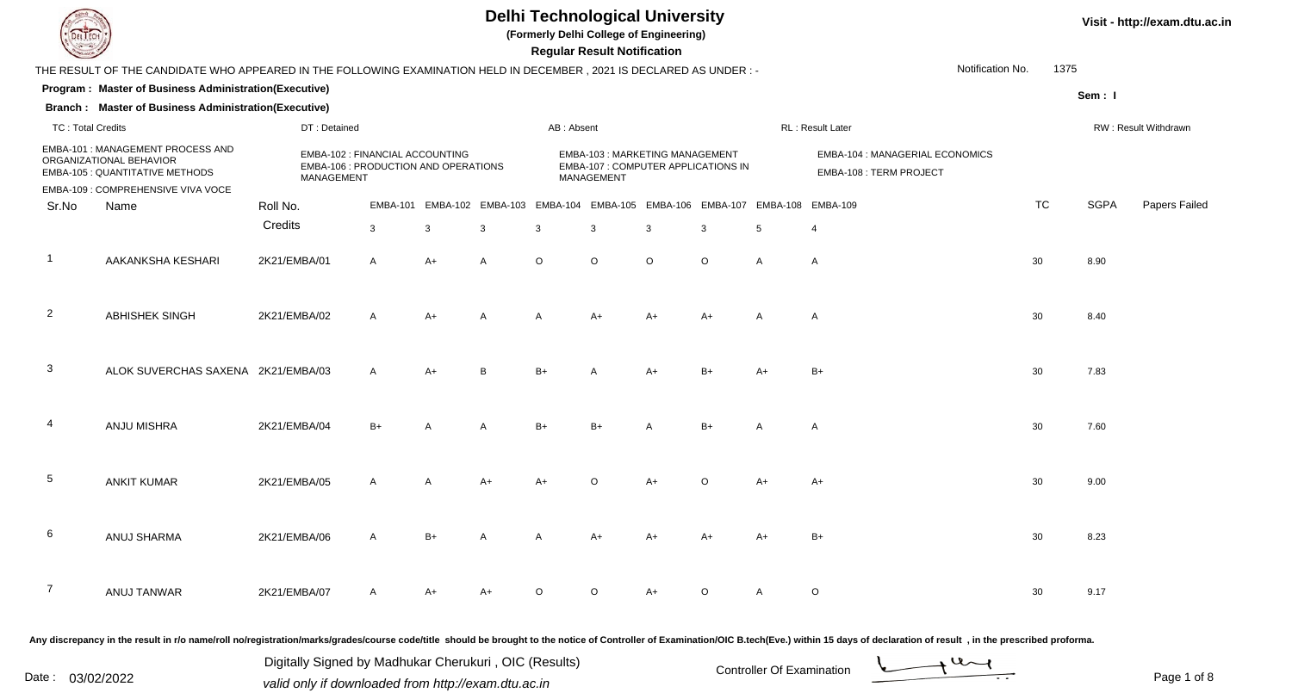

**(Formerly Delhi College of Engineering)**

 **Regular Result Notification**

| $\sim$                   |                                                                                                                      |              |                                                                                       |              |                |                |                | n <del>c</del> yular n <del>c</del> sult notification                                      |                |              |                                                            |                                                                                                                                                                                                                                |                  |             |                      |
|--------------------------|----------------------------------------------------------------------------------------------------------------------|--------------|---------------------------------------------------------------------------------------|--------------|----------------|----------------|----------------|--------------------------------------------------------------------------------------------|----------------|--------------|------------------------------------------------------------|--------------------------------------------------------------------------------------------------------------------------------------------------------------------------------------------------------------------------------|------------------|-------------|----------------------|
|                          | THE RESULT OF THE CANDIDATE WHO APPEARED IN THE FOLLOWING EXAMINATION HELD IN DECEMBER, 2021 IS DECLARED AS UNDER :- |              |                                                                                       |              |                |                |                |                                                                                            |                |              |                                                            |                                                                                                                                                                                                                                | Notification No. | 1375        |                      |
|                          | Program: Master of Business Administration(Executive)                                                                |              |                                                                                       |              |                |                |                |                                                                                            |                |              |                                                            |                                                                                                                                                                                                                                |                  | Sem: I      |                      |
|                          | <b>Branch: Master of Business Administration(Executive)</b>                                                          |              |                                                                                       |              |                |                |                |                                                                                            |                |              |                                                            |                                                                                                                                                                                                                                |                  |             |                      |
| <b>TC: Total Credits</b> |                                                                                                                      |              | DT: Detained                                                                          |              |                |                | AB: Absent     |                                                                                            |                |              |                                                            | RL : Result Later                                                                                                                                                                                                              |                  |             | RW: Result Withdrawn |
|                          | EMBA-101 : MANAGEMENT PROCESS AND<br>ORGANIZATIONAL BEHAVIOR<br>EMBA-105 : QUANTITATIVE METHODS                      |              | EMBA-102 : FINANCIAL ACCOUNTING<br>EMBA-106 : PRODUCTION AND OPERATIONS<br>MANAGEMENT |              |                |                |                | <b>EMBA-103: MARKETING MANAGEMENT</b><br>EMBA-107 : COMPUTER APPLICATIONS IN<br>MANAGEMENT |                |              | EMBA-104 : MANAGERIAL ECONOMICS<br>EMBA-108 : TERM PROJECT |                                                                                                                                                                                                                                |                  |             |                      |
|                          | EMBA-109 : COMPREHENSIVE VIVA VOCE                                                                                   |              |                                                                                       |              |                |                |                |                                                                                            |                |              |                                                            |                                                                                                                                                                                                                                |                  |             |                      |
| Sr.No                    | Name                                                                                                                 | Roll No.     |                                                                                       |              |                |                |                | EMBA-101 EMBA-102 EMBA-103 EMBA-104 EMBA-105 EMBA-106 EMBA-107 EMBA-108 EMBA-109           |                |              |                                                            |                                                                                                                                                                                                                                | TC               | <b>SGPA</b> | Papers Failed        |
|                          |                                                                                                                      | Credits      |                                                                                       | $\mathbf{3}$ | 3              | $\mathbf{3}$   | $\mathbf{3}$   | 3                                                                                          | 3              | $\mathbf{3}$ | $5\phantom{.0}$                                            | 4                                                                                                                                                                                                                              |                  |             |                      |
| $\mathbf{1}$             | AAKANKSHA KESHARI                                                                                                    | 2K21/EMBA/01 |                                                                                       | $\mathsf{A}$ | $A+$           | $\mathsf{A}$   | $\circ$        | $\circ$                                                                                    | $\circ$        | $\circ$      | A                                                          | A                                                                                                                                                                                                                              | 30               | 8.90        |                      |
| $\overline{2}$           | ABHISHEK SINGH                                                                                                       | 2K21/EMBA/02 |                                                                                       | $\mathsf{A}$ | $A+$           | $\overline{A}$ | $\overline{A}$ | $A+$                                                                                       | $A+$           | $A+$         | $\overline{A}$                                             | $\mathsf{A}$                                                                                                                                                                                                                   | 30               | 8.40        |                      |
| $\mathbf{3}$             | ALOK SUVERCHAS SAXENA 2K21/EMBA/03                                                                                   |              |                                                                                       | $\mathsf{A}$ | $A+$           | B              | $B+$           | $\overline{A}$                                                                             | $A+$           | $B+$         | $A+$                                                       | $B+$                                                                                                                                                                                                                           | 30               | 7.83        |                      |
| 4                        | ANJU MISHRA                                                                                                          | 2K21/EMBA/04 |                                                                                       | $B+$         | A              | Α              | $B+$           | $B+$                                                                                       | $\overline{A}$ | $B+$         | $\overline{A}$                                             | A                                                                                                                                                                                                                              | 30               | 7.60        |                      |
| $\sqrt{5}$               | <b>ANKIT KUMAR</b>                                                                                                   | 2K21/EMBA/05 |                                                                                       | $\mathsf{A}$ | $\overline{A}$ | $A+$           | $A+$           | $\circ$                                                                                    | $A+$           | $\circ$      | $A+$                                                       | $A+$                                                                                                                                                                                                                           | 30               | 9.00        |                      |
| 6                        | ANUJ SHARMA                                                                                                          | 2K21/EMBA/06 |                                                                                       | $\mathsf{A}$ | $B+$           | $\overline{A}$ | $\overline{A}$ | $A+$                                                                                       | $A+$           | $A+$         | $A+$                                                       | $B+$                                                                                                                                                                                                                           | 30               | 8.23        |                      |
| $\overline{7}$           | ANUJ TANWAR                                                                                                          | 2K21/EMBA/07 |                                                                                       | A            | A+             | A+             | $\Omega$       | $\Omega$                                                                                   | $A+$           | $\circ$      | $\mathsf{A}$                                               | $\circ$                                                                                                                                                                                                                        | 30               | 9.17        |                      |
|                          |                                                                                                                      |              |                                                                                       |              |                |                |                |                                                                                            |                |              |                                                            | Any discrepancy in the result in r/o name/roll no/registration/marks/grades/course code/title should be brought to the notice of Controller of Examination/OIC B.tech(Eve.) within 15 days of declaration of result , in the p |                  |             |                      |

Date : 03/02/2022<br>
valid only if downloaded from http://exam.dtu.ac.in<br>
Page 1 of Digitally Signed by Madhukar Cherukuri , OIC (Results)

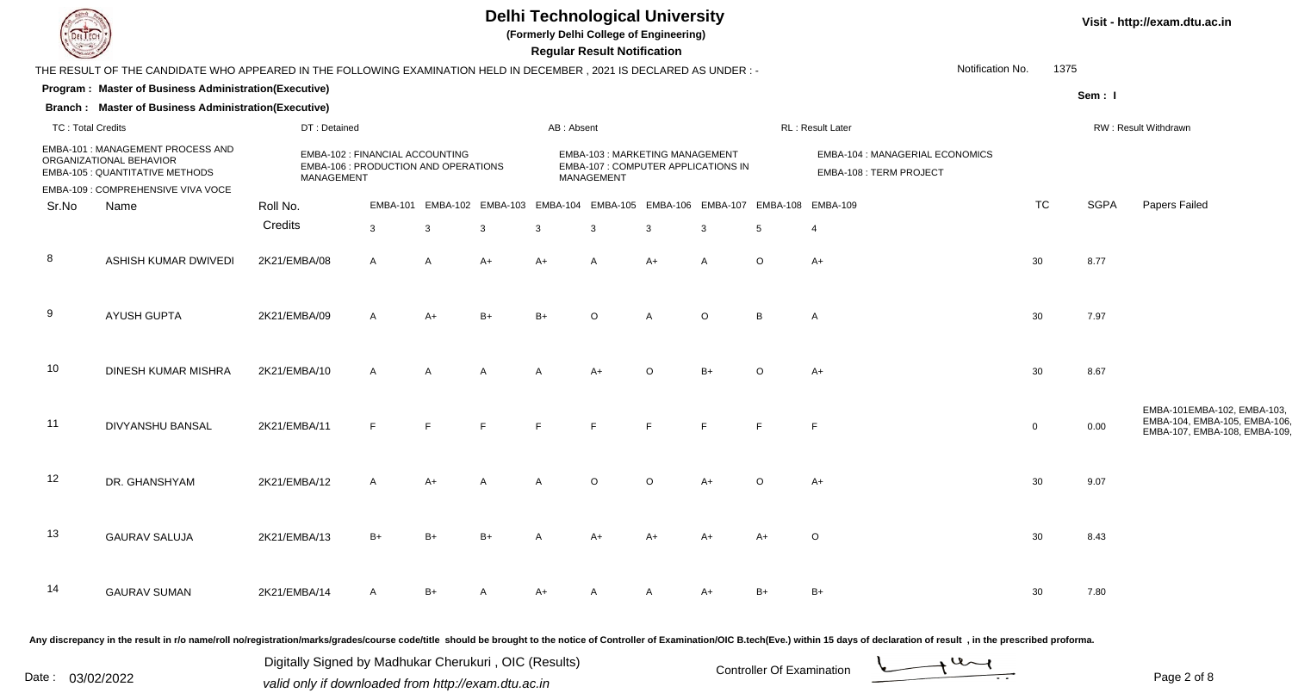

**(Formerly Delhi College of Engineering)**

 **Regular Result Notification**

| $\sim$                   |                                                                                                                                                                                                                                |              |                                                                         |      |                                                                                  |              | n <del>e</del> guiai n <del>e</del> suit notification                               |                |         |                |                                                            |                  |             |                                                                                             |
|--------------------------|--------------------------------------------------------------------------------------------------------------------------------------------------------------------------------------------------------------------------------|--------------|-------------------------------------------------------------------------|------|----------------------------------------------------------------------------------|--------------|-------------------------------------------------------------------------------------|----------------|---------|----------------|------------------------------------------------------------|------------------|-------------|---------------------------------------------------------------------------------------------|
|                          | THE RESULT OF THE CANDIDATE WHO APPEARED IN THE FOLLOWING EXAMINATION HELD IN DECEMBER, 2021 IS DECLARED AS UNDER: -                                                                                                           |              |                                                                         |      |                                                                                  |              |                                                                                     |                |         |                |                                                            | Notification No. | 1375        |                                                                                             |
|                          | Program: Master of Business Administration(Executive)                                                                                                                                                                          |              |                                                                         |      |                                                                                  |              |                                                                                     |                |         |                |                                                            |                  | Sem: I      |                                                                                             |
|                          | <b>Branch: Master of Business Administration(Executive)</b>                                                                                                                                                                    |              |                                                                         |      |                                                                                  |              |                                                                                     |                |         |                |                                                            |                  |             |                                                                                             |
| <b>TC: Total Credits</b> |                                                                                                                                                                                                                                | DT: Detained |                                                                         |      |                                                                                  | AB: Absent   |                                                                                     |                |         |                | RL: Result Later                                           |                  |             | RW: Result Withdrawn                                                                        |
|                          | EMBA-101 : MANAGEMENT PROCESS AND<br>ORGANIZATIONAL BEHAVIOR<br><b>EMBA-105 : QUANTITATIVE METHODS</b>                                                                                                                         | MANAGEMENT   | EMBA-102 : FINANCIAL ACCOUNTING<br>EMBA-106 : PRODUCTION AND OPERATIONS |      |                                                                                  |              | EMBA-103: MARKETING MANAGEMENT<br>EMBA-107 : COMPUTER APPLICATIONS IN<br>MANAGEMENT |                |         |                | EMBA-104 : MANAGERIAL ECONOMICS<br>EMBA-108 : TERM PROJECT |                  |             |                                                                                             |
|                          | EMBA-109 : COMPREHENSIVE VIVA VOCE                                                                                                                                                                                             |              |                                                                         |      |                                                                                  |              |                                                                                     |                |         |                |                                                            |                  |             |                                                                                             |
| Sr.No                    | Name                                                                                                                                                                                                                           | Roll No.     |                                                                         |      | EMBA-101 EMBA-102 EMBA-103 EMBA-104 EMBA-105 EMBA-106 EMBA-107 EMBA-108 EMBA-109 |              |                                                                                     |                |         |                |                                                            | <b>TC</b>        | <b>SGPA</b> | Papers Failed                                                                               |
|                          |                                                                                                                                                                                                                                | Credits      | 3                                                                       | 3    | 3                                                                                | $\mathbf{3}$ | 3                                                                                   | $\mathbf{3}$   | 3       | 5              | $\overline{4}$                                             |                  |             |                                                                                             |
| 8                        | ASHISH KUMAR DWIVEDI                                                                                                                                                                                                           | 2K21/EMBA/08 | $\mathsf{A}$                                                            | A    | $A+$                                                                             | $A+$         | $\mathsf{A}$                                                                        | $A+$           | A       | $\circ$        | $A+$                                                       | 30               | 8.77        |                                                                                             |
| 9                        | <b>AYUSH GUPTA</b>                                                                                                                                                                                                             | 2K21/EMBA/09 | A                                                                       | $A+$ | $B+$                                                                             | $B+$         | $\Omega$                                                                            | $\overline{A}$ | $\circ$ | $\overline{B}$ | A                                                          | 30               | 7.97        |                                                                                             |
| 10                       | DINESH KUMAR MISHRA                                                                                                                                                                                                            | 2K21/EMBA/10 | $\mathsf{A}$                                                            | A    |                                                                                  |              | $A+$                                                                                | $\circ$        | $B+$    | $\Omega$       | $A+$                                                       | 30               | 8.67        |                                                                                             |
| 11                       | DIVYANSHU BANSAL                                                                                                                                                                                                               | 2K21/EMBA/11 | F.                                                                      | E    |                                                                                  |              | $\blacksquare$                                                                      | $\mathsf{F}$   | E       | $\mathsf{F}$   | $\mathsf F$                                                | $\mathbf 0$      | 0.00        | EMBA-101EMBA-102, EMBA-103,<br>EMBA-104, EMBA-105, EMBA-106<br>EMBA-107, EMBA-108, EMBA-109 |
| 12                       | DR. GHANSHYAM                                                                                                                                                                                                                  | 2K21/EMBA/12 | $\mathsf{A}$                                                            | $A+$ |                                                                                  | A            | $\Omega$                                                                            | $\circ$        | $A+$    | ∩              | $A+$                                                       | 30               | 9.07        |                                                                                             |
| 13                       | <b>GAURAV SALUJA</b>                                                                                                                                                                                                           | 2K21/EMBA/13 | $B+$                                                                    | $B+$ | $B+$                                                                             |              | $A+$                                                                                | $A+$           | A+      | A+             | $\circ$                                                    | 30               | 8.43        |                                                                                             |
| 14                       | <b>GAURAV SUMAN</b>                                                                                                                                                                                                            | 2K21/EMBA/14 | A                                                                       | $B+$ |                                                                                  | $A+$         |                                                                                     |                | A+      | $B+$           | $B+$                                                       | 30               | 7.80        |                                                                                             |
|                          | Any discrepancy in the result in r/o name/roll no/registration/marks/grades/course code/title should be brought to the notice of Controller of Examination/OIC B.tech(Eve.) within 15 days of declaration of result, in the pr |              |                                                                         |      |                                                                                  |              |                                                                                     |                |         |                |                                                            |                  |             |                                                                                             |

Date : 03/02/2022<br>
valid only if downloaded from http://exam.dtu.ac.in<br>
Page 2 of Digitally Signed by Madhukar Cherukuri , OIC (Results)

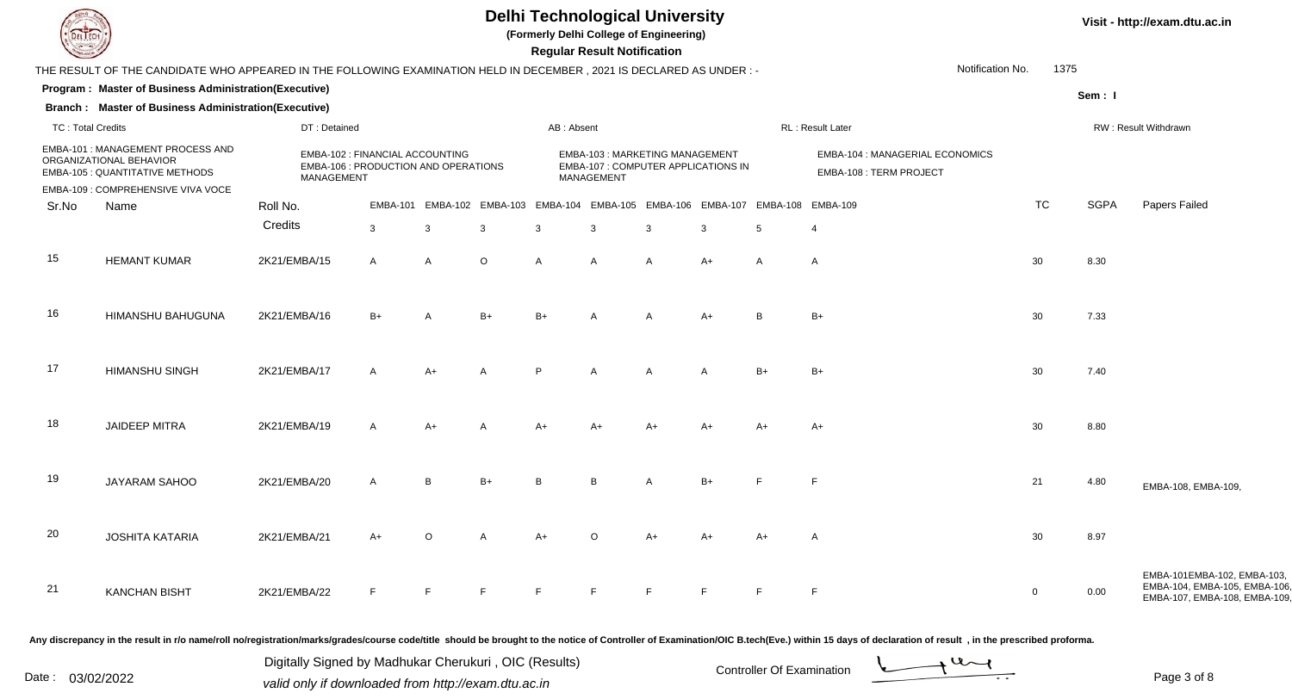

**(Formerly Delhi College of Engineering)**

 **Regular Result Notification**

|                          | THE RESULT OF THE CANDIDATE WHO APPEARED IN THE FOLLOWING EXAMINATION HELD IN DECEMBER, 2021 IS DECLARED AS UNDER :- |              |                                                                         |                            |              |            |                                              |   |                                                                                                   |                   |                  | Notification No.<br>1375 |             |                                                                                             |
|--------------------------|----------------------------------------------------------------------------------------------------------------------|--------------|-------------------------------------------------------------------------|----------------------------|--------------|------------|----------------------------------------------|---|---------------------------------------------------------------------------------------------------|-------------------|------------------|--------------------------|-------------|---------------------------------------------------------------------------------------------|
|                          | Program: Master of Business Administration(Executive)                                                                |              |                                                                         |                            |              |            |                                              |   |                                                                                                   |                   |                  |                          | Sem: I      |                                                                                             |
|                          | <b>Branch: Master of Business Administration(Executive)</b>                                                          |              |                                                                         |                            |              |            |                                              |   |                                                                                                   |                   |                  |                          |             |                                                                                             |
| <b>TC: Total Credits</b> |                                                                                                                      | DT: Detained |                                                                         |                            |              | AB: Absent |                                              |   |                                                                                                   |                   | RL: Result Later |                          |             | RW: Result Withdrawn                                                                        |
|                          | EMBA-101 : MANAGEMENT PROCESS AND<br>ORGANIZATIONAL BEHAVIOR<br><b>EMBA-105 : QUANTITATIVE METHODS</b>               | MANAGEMENT   | EMBA-102 : FINANCIAL ACCOUNTING<br>EMBA-106 : PRODUCTION AND OPERATIONS |                            |              |            | EMBA-103: MARKETING MANAGEMENT<br>MANAGEMENT |   | EMBA-104 : MANAGERIAL ECONOMICS<br>EMBA-107 : COMPUTER APPLICATIONS IN<br>EMBA-108 : TERM PROJECT |                   |                  |                          |             |                                                                                             |
|                          | EMBA-109 : COMPREHENSIVE VIVA VOCE                                                                                   |              |                                                                         |                            |              |            |                                              |   |                                                                                                   |                   |                  |                          |             |                                                                                             |
| Sr.No                    | Name                                                                                                                 | Roll No.     |                                                                         | EMBA-101 EMBA-102 EMBA-103 |              |            | EMBA-104 EMBA-105 EMBA-106 EMBA-107          |   |                                                                                                   | EMBA-108 EMBA-109 |                  | <b>TC</b>                | <b>SGPA</b> | Papers Failed                                                                               |
|                          |                                                                                                                      | Credits      | $\mathbf{3}$                                                            | 3                          | $\mathbf{3}$ | 3          | 3                                            | 3 | 3                                                                                                 | 5                 | $\overline{4}$   |                          |             |                                                                                             |
| 15                       | <b>HEMANT KUMAR</b>                                                                                                  | 2K21/EMBA/15 | A                                                                       | $\mathsf{A}$               | $\circ$      | A          | $\overline{A}$                               | A | A+                                                                                                | A                 | $\mathsf{A}$     | 30                       | 8.30        |                                                                                             |
| 16                       | HIMANSHU BAHUGUNA                                                                                                    | 2K21/EMBA/16 | $B+$                                                                    |                            | $B+$         | B+         |                                              | А | $A+$                                                                                              | R                 | $B+$             | 30                       | 7.33        |                                                                                             |
| 17                       | HIMANSHU SINGH                                                                                                       | 2K21/EMBA/17 | A                                                                       | $A+$                       | A            | P          |                                              | A |                                                                                                   | B+                | $B+$             | 30                       | 7.40        |                                                                                             |
| 18                       | <b>JAIDEEP MITRA</b>                                                                                                 | 2K21/EMBA/19 | A                                                                       | $A+$                       |              | A+         |                                              |   |                                                                                                   |                   | $A+$             | 30                       | 8.80        |                                                                                             |
| 19                       | JAYARAM SAHOO                                                                                                        | 2K21/EMBA/20 |                                                                         | <b>R</b>                   | $B+$         | R          | R                                            | A | $B+$                                                                                              |                   |                  | 21                       | 4.80        | EMBA-108, EMBA-109,                                                                         |
| 20                       | <b>JOSHITA KATARIA</b>                                                                                               | 2K21/EMBA/21 | $A+$                                                                    |                            |              |            |                                              |   |                                                                                                   |                   | A                | 30                       | 8.97        |                                                                                             |
| 21                       | <b>KANCHAN BISHT</b>                                                                                                 | 2K21/EMBA/22 |                                                                         |                            |              |            |                                              |   |                                                                                                   |                   | E                | $\overline{0}$           | 0.00        | EMBA-101EMBA-102, EMBA-103,<br>EMBA-104, EMBA-105, EMBA-106<br>EMBA-107, EMBA-108, EMBA-109 |

Any discrepancy in the result in r/o name/roll no/registration/marks/grades/course code/title should be brought to the notice of Controller of Examination/OIC B.tech(Eve.) within 15 days of declaration of result, in the pr

Date : 03/02/2022<br>
valid only if downloaded from http://exam.dtu.ac.in<br>
Page 3 of Digitally Signed by Madhukar Cherukuri , OIC (Results)

Page 3 of 8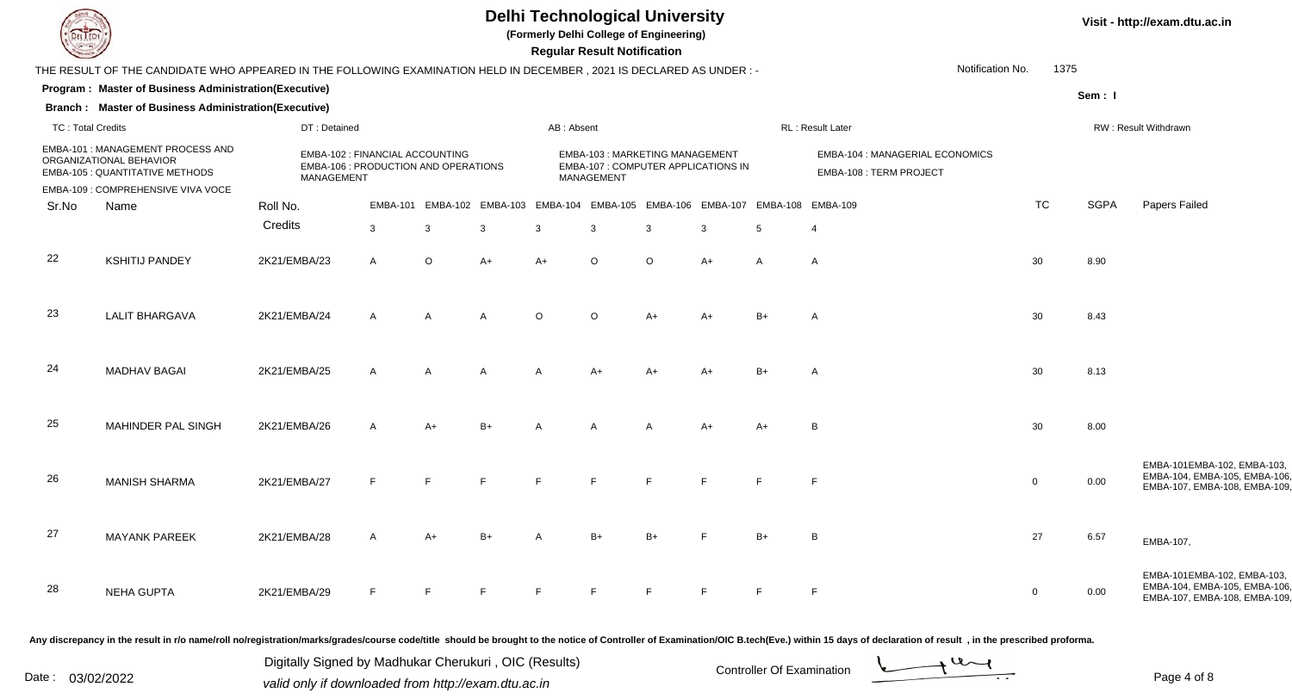

**(Formerly Delhi College of Engineering)**

 **Regular Result Notification**

|                          | THE RESULT OF THE CANDIDATE WHO APPEARED IN THE FOLLOWING EXAMINATION HELD IN DECEMBER, 2021 IS DECLARED AS UNDER :- |              |                                                                         |                            |      |            |                                                                                            |                |      |                                              |                                                            | Notification No.<br>1375 |        |                                                                                             |
|--------------------------|----------------------------------------------------------------------------------------------------------------------|--------------|-------------------------------------------------------------------------|----------------------------|------|------------|--------------------------------------------------------------------------------------------|----------------|------|----------------------------------------------|------------------------------------------------------------|--------------------------|--------|---------------------------------------------------------------------------------------------|
|                          | Program: Master of Business Administration(Executive)                                                                |              |                                                                         |                            |      |            |                                                                                            |                |      |                                              |                                                            |                          | Sem: I |                                                                                             |
|                          | <b>Branch: Master of Business Administration(Executive)</b>                                                          |              |                                                                         |                            |      |            |                                                                                            |                |      |                                              |                                                            |                          |        |                                                                                             |
| <b>TC: Total Credits</b> |                                                                                                                      | DT: Detained |                                                                         |                            |      | AB: Absent |                                                                                            |                |      |                                              | RL : Result Later                                          |                          |        | RW: Result Withdrawn                                                                        |
|                          | EMBA-101: MANAGEMENT PROCESS AND<br>ORGANIZATIONAL BEHAVIOR<br><b>EMBA-105 : QUANTITATIVE METHODS</b>                | MANAGEMENT   | EMBA-102 : FINANCIAL ACCOUNTING<br>EMBA-106 : PRODUCTION AND OPERATIONS |                            |      |            | EMBA-103: MARKETING MANAGEMENT<br>EMBA-107 : COMPUTER APPLICATIONS IN<br><b>MANAGEMENT</b> |                |      |                                              | EMBA-104 : MANAGERIAL ECONOMICS<br>EMBA-108 : TERM PROJECT |                          |        |                                                                                             |
|                          | EMBA-109 : COMPREHENSIVE VIVA VOCE                                                                                   |              |                                                                         |                            |      |            |                                                                                            |                |      |                                              |                                                            |                          |        |                                                                                             |
| Sr.No                    | Name                                                                                                                 | Roll No.     |                                                                         | EMBA-101 EMBA-102 EMBA-103 |      |            |                                                                                            |                |      | EMBA-104 EMBA-105 EMBA-106 EMBA-107 EMBA-108 | <b>EMBA-109</b>                                            | <b>TC</b>                | SGPA   | Papers Failed                                                                               |
|                          |                                                                                                                      | Credits      | $\mathbf{3}$                                                            | 3                          | 3    | 3          | 3                                                                                          | 3              | 3    | 5                                            | $\overline{4}$                                             |                          |        |                                                                                             |
| 22                       | <b>KSHITIJ PANDEY</b>                                                                                                | 2K21/EMBA/23 | A                                                                       | $\circ$                    | $A+$ | $A+$       | $\circ$                                                                                    | $\circ$        | $A+$ | A                                            | A                                                          | 30                       | 8.90   |                                                                                             |
| 23                       | <b>LALIT BHARGAVA</b>                                                                                                | 2K21/EMBA/24 | A                                                                       |                            | A    | $\Omega$   | ∩                                                                                          | $A+$           |      |                                              | A                                                          | 30                       | 8.43   |                                                                                             |
| 24                       | <b>MADHAV BAGAI</b>                                                                                                  | 2K21/EMBA/25 | $\mathsf{A}$                                                            | A                          | A    |            | A+                                                                                         | A+             |      | $B+$                                         | $\mathsf{A}$                                               | 30                       | 8.13   |                                                                                             |
| 25                       | MAHINDER PAL SINGH                                                                                                   | 2K21/EMBA/26 | A                                                                       | $A+$                       | $B+$ |            | $\overline{A}$                                                                             | $\overline{A}$ | A+   | $A+$                                         | B                                                          | 30                       | 8.00   |                                                                                             |
| 26                       | <b>MANISH SHARMA</b>                                                                                                 | 2K21/EMBA/27 |                                                                         |                            |      |            |                                                                                            | F              |      |                                              | E                                                          | $\mathbf{0}$             | 0.00   | EMBA-101EMBA-102, EMBA-103,<br>EMBA-104, EMBA-105, EMBA-106<br>EMBA-107, EMBA-108, EMBA-109 |
| 27                       | <b>MAYANK PAREEK</b>                                                                                                 | 2K21/EMBA/28 | A                                                                       | $A+$                       |      |            |                                                                                            | $B+$           |      |                                              | B                                                          | 27                       | 6.57   | EMBA-107,                                                                                   |
| 28                       | <b>NEHA GUPTA</b>                                                                                                    | 2K21/EMBA/29 |                                                                         |                            |      |            | Е                                                                                          | E              |      |                                              | F                                                          | $\overline{0}$           | 0.00   | EMBA-101EMBA-102, EMBA-103,<br>EMBA-104, EMBA-105, EMBA-106<br>EMBA-107, EMBA-108, EMBA-109 |

Any discrepancy in the result in r/o name/roll no/registration/marks/grades/course code/title should be brought to the notice of Controller of Examination/OIC B.tech(Eve.) within 15 days of declaration of result, in the pr

Date : 03/02/2022<br>
valid only if downloaded from http://exam.dtu.ac.in<br>
Page 4 of Digitally Signed by Madhukar Cherukuri , OIC (Results)



Page 4 of 8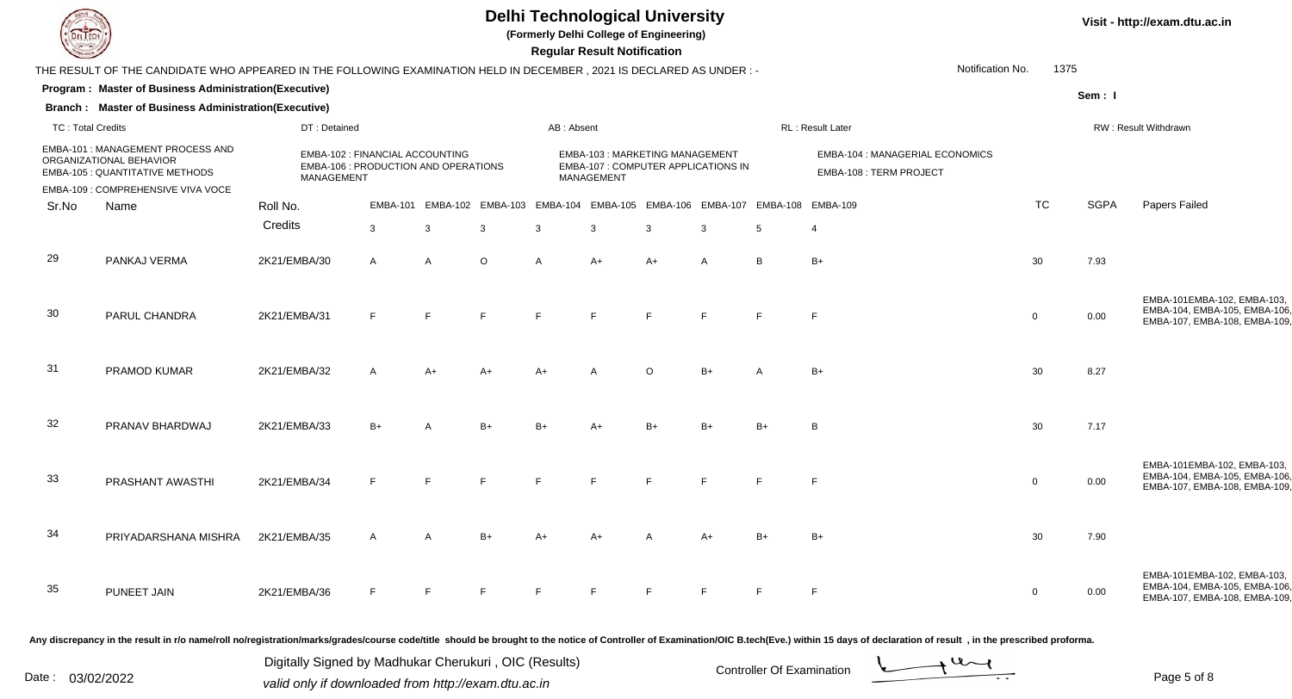

**(Formerly Delhi College of Engineering)**

 **Regular Result Notification**

| $\overline{\phantom{a}}$ |                                                                                                                      |              |                                                                                              |                |    |                                                                                  |            | <b>Regular Result Notification</b>                                                         |                |      |      |                                                            |                  |        |                      |                                                                                             |
|--------------------------|----------------------------------------------------------------------------------------------------------------------|--------------|----------------------------------------------------------------------------------------------|----------------|----|----------------------------------------------------------------------------------|------------|--------------------------------------------------------------------------------------------|----------------|------|------|------------------------------------------------------------|------------------|--------|----------------------|---------------------------------------------------------------------------------------------|
|                          | THE RESULT OF THE CANDIDATE WHO APPEARED IN THE FOLLOWING EXAMINATION HELD IN DECEMBER, 2021 IS DECLARED AS UNDER :- |              |                                                                                              |                |    |                                                                                  |            |                                                                                            |                |      |      |                                                            | Notification No. | 1375   |                      |                                                                                             |
|                          | Program: Master of Business Administration(Executive)                                                                |              |                                                                                              |                |    |                                                                                  |            |                                                                                            |                |      |      |                                                            |                  | Sem: I |                      |                                                                                             |
|                          | <b>Branch: Master of Business Administration(Executive)</b>                                                          |              |                                                                                              |                |    |                                                                                  |            |                                                                                            |                |      |      |                                                            |                  |        |                      |                                                                                             |
| <b>TC: Total Credits</b> |                                                                                                                      |              | DT: Detained                                                                                 |                |    |                                                                                  | AB: Absent |                                                                                            |                |      |      | RL: Result Later                                           |                  |        | RW: Result Withdrawn |                                                                                             |
|                          | <b>EMBA-101: MANAGEMENT PROCESS AND</b><br>ORGANIZATIONAL BEHAVIOR<br>EMBA-105 : QUANTITATIVE METHODS                |              | EMBA-102 : FINANCIAL ACCOUNTING<br>EMBA-106 : PRODUCTION AND OPERATIONS<br><b>MANAGEMENT</b> |                |    |                                                                                  |            | EMBA-103: MARKETING MANAGEMENT<br><b>EMBA-107 : COMPUTER APPLICATIONS IN</b><br>MANAGEMENT |                |      |      | EMBA-104 : MANAGERIAL ECONOMICS<br>EMBA-108 : TERM PROJECT |                  |        |                      |                                                                                             |
|                          | EMBA-109 : COMPREHENSIVE VIVA VOCE                                                                                   |              |                                                                                              |                |    |                                                                                  |            |                                                                                            |                |      |      |                                                            |                  |        |                      |                                                                                             |
| Sr.No                    | Name                                                                                                                 | Roll No.     |                                                                                              |                |    | EMBA-101 EMBA-102 EMBA-103 EMBA-104 EMBA-105 EMBA-106 EMBA-107 EMBA-108 EMBA-109 |            |                                                                                            |                |      |      |                                                            | <b>TC</b>        |        | <b>SGPA</b>          | Papers Failed                                                                               |
|                          |                                                                                                                      | Credits      |                                                                                              | 3              | 3  | -3                                                                               | 3          | 3                                                                                          | 3              |      | 5    | $\overline{4}$                                             |                  |        |                      |                                                                                             |
| 29                       | PANKAJ VERMA                                                                                                         | 2K21/EMBA/30 |                                                                                              | $\mathsf{A}$   | A  | $\Omega$                                                                         | А          | $A+$                                                                                       | $A+$           | A    | B.   | $B+$                                                       | 30               | 7.93   |                      |                                                                                             |
| 30                       | PARUL CHANDRA                                                                                                        | 2K21/EMBA/31 |                                                                                              | E              | E  |                                                                                  |            |                                                                                            |                |      |      | $\mathsf{F}$                                               | $\overline{0}$   | 0.00   |                      | EMBA-101EMBA-102, EMBA-103,<br>EMBA-104, EMBA-105, EMBA-106<br>EMBA-107, EMBA-108, EMBA-109 |
| 31                       | PRAMOD KUMAR                                                                                                         | 2K21/EMBA/32 |                                                                                              | $\overline{A}$ | A+ |                                                                                  | A+         |                                                                                            | $\circ$        | $B+$ |      | $B+$                                                       | 30               | 8.27   |                      |                                                                                             |
| 32                       | PRANAV BHARDWAJ                                                                                                      | 2K21/EMBA/33 |                                                                                              | $B+$           |    | $B+$                                                                             |            |                                                                                            | B <sub>1</sub> | $B+$ | $B+$ | B                                                          | 30               | 7.17   |                      |                                                                                             |
| 33                       | PRASHANT AWASTHI                                                                                                     | 2K21/EMBA/34 |                                                                                              |                | F  |                                                                                  |            |                                                                                            |                |      |      | F                                                          | $\mathbf 0$      | 0.00   |                      | EMBA-101EMBA-102, EMBA-103,<br>EMBA-104, EMBA-105, EMBA-106<br>EMBA-107, EMBA-108, EMBA-109 |
| 34                       | PRIYADARSHANA MISHRA                                                                                                 | 2K21/EMBA/35 |                                                                                              | $\overline{A}$ |    |                                                                                  |            |                                                                                            |                | $A+$ | $B+$ | $B+$                                                       | 30               | 7.90   |                      |                                                                                             |
| 35                       | PUNEET JAIN                                                                                                          | 2K21/EMBA/36 |                                                                                              | F              | E  |                                                                                  |            |                                                                                            |                |      |      | $\mathsf{F}$                                               | $\Omega$         | 0.00   |                      | EMBA-101EMBA-102, EMBA-103,<br>EMBA-104, EMBA-105, EMBA-106<br>EMBA-107, EMBA-108, EMBA-109 |

Any discrepancy in the result in r/o name/roll no/registration/marks/grades/course code/title should be brought to the notice of Controller of Examination/OIC B.tech(Eve.) within 15 days of declaration of result, in the pr

Date : 03/02/2022<br>
valid only if downloaded from http://exam.dtu.ac.in<br>
Page 5 of Digitally Signed by Madhukar Cherukuri , OIC (Results)

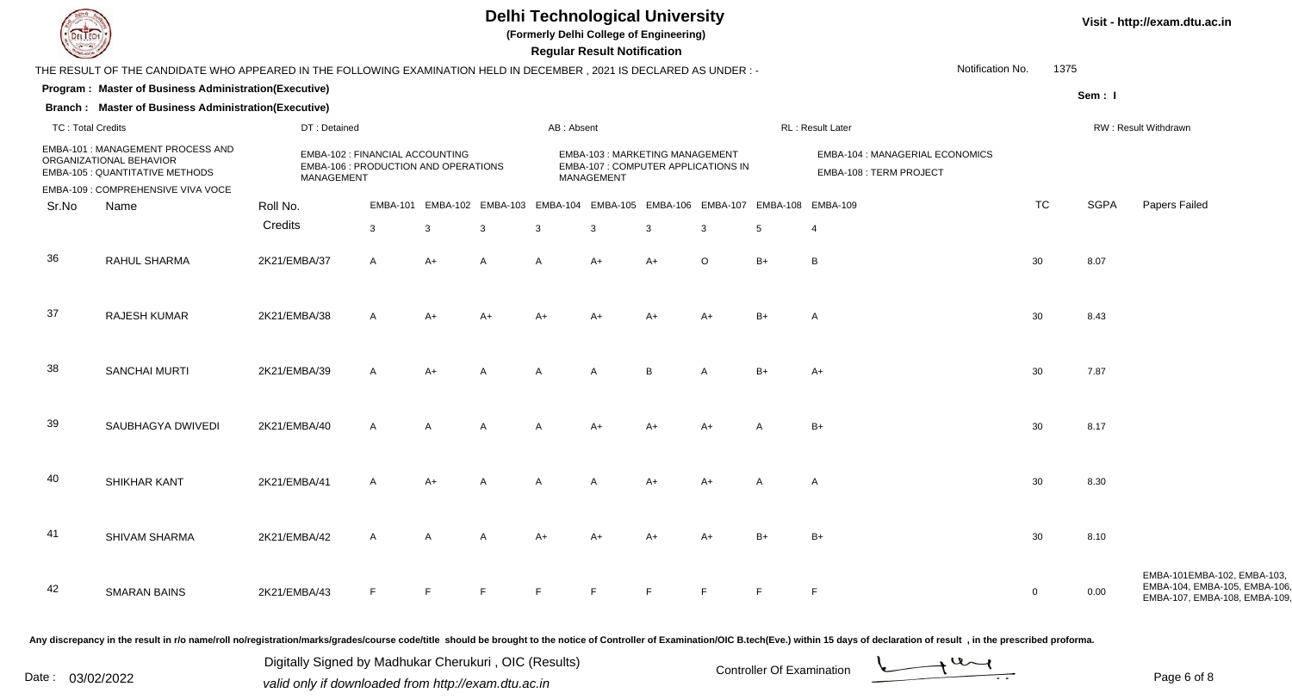

**(Formerly Delhi College of Engineering)**

 **Regular Result Notification**

| Notification No.<br>1375 |                                                                                                                                                                               |                                                                                       |                 |                |                |            |                                                                                     |      |         |                                                                         |                                                            |             |        |                                                                                             |
|--------------------------|-------------------------------------------------------------------------------------------------------------------------------------------------------------------------------|---------------------------------------------------------------------------------------|-----------------|----------------|----------------|------------|-------------------------------------------------------------------------------------|------|---------|-------------------------------------------------------------------------|------------------------------------------------------------|-------------|--------|---------------------------------------------------------------------------------------------|
|                          | THE RESULT OF THE CANDIDATE WHO APPEARED IN THE FOLLOWING EXAMINATION HELD IN DECEMBER, 2021 IS DECLARED AS UNDER :-<br>Program: Master of Business Administration(Executive) |                                                                                       |                 |                |                |            |                                                                                     |      |         |                                                                         |                                                            |             |        |                                                                                             |
|                          |                                                                                                                                                                               |                                                                                       |                 |                |                |            |                                                                                     |      |         |                                                                         |                                                            |             | Sem: I |                                                                                             |
|                          | <b>Branch: Master of Business Administration(Executive)</b>                                                                                                                   |                                                                                       |                 |                |                |            |                                                                                     |      |         |                                                                         |                                                            |             |        |                                                                                             |
| <b>TC: Total Credits</b> |                                                                                                                                                                               | DT: Detained                                                                          |                 |                |                | AB: Absent |                                                                                     |      |         |                                                                         | RL: Result Later                                           |             |        | RW: Result Withdrawn                                                                        |
|                          | EMBA-101 : MANAGEMENT PROCESS AND<br>ORGANIZATIONAL BEHAVIOR<br>EMBA-105 : QUANTITATIVE METHODS                                                                               | EMBA-102 : FINANCIAL ACCOUNTING<br>EMBA-106 : PRODUCTION AND OPERATIONS<br>MANAGEMENT |                 |                |                |            | EMBA-103: MARKETING MANAGEMENT<br>EMBA-107 : COMPUTER APPLICATIONS IN<br>MANAGEMENT |      |         |                                                                         | EMBA-104 : MANAGERIAL ECONOMICS<br>EMBA-108 : TERM PROJECT |             |        |                                                                                             |
|                          | EMBA-109 : COMPREHENSIVE VIVA VOCE                                                                                                                                            |                                                                                       |                 |                |                |            |                                                                                     |      |         |                                                                         |                                                            |             |        |                                                                                             |
| Sr.No                    | Name                                                                                                                                                                          | Roll No.                                                                              | <b>EMBA-101</b> |                |                |            |                                                                                     |      |         | EMBA-102 EMBA-103 EMBA-104 EMBA-105 EMBA-106 EMBA-107 EMBA-108 EMBA-109 |                                                            | <b>TC</b>   | SGPA   | Papers Failed                                                                               |
|                          |                                                                                                                                                                               | Credits                                                                               | 3               | 3              | $\mathbf{3}$   | 3          | 3                                                                                   | 3    | 3       | 5                                                                       | $\overline{4}$                                             |             |        |                                                                                             |
| 36                       | RAHUL SHARMA                                                                                                                                                                  | 2K21/EMBA/37                                                                          | $\mathsf{A}$    | $A+$           | A              | A          | $A+$                                                                                | $A+$ | $\circ$ | $B+$                                                                    | B                                                          | 30          | 8.07   |                                                                                             |
| 37                       | <b>RAJESH KUMAR</b>                                                                                                                                                           | 2K21/EMBA/38                                                                          | $\mathsf{A}$    | $A+$           |                |            |                                                                                     |      | $A+$    | $B+$                                                                    | $\overline{A}$                                             | 30          | 8.43   |                                                                                             |
| 38                       | <b>SANCHAI MURTI</b>                                                                                                                                                          | 2K21/EMBA/39                                                                          | $\mathsf{A}$    | $A+$           |                | A          | Α                                                                                   | B    | A       | $B+$                                                                    | $A+$                                                       | 30          | 7.87   |                                                                                             |
| 39                       | SAUBHAGYA DWIVEDI                                                                                                                                                             | 2K21/EMBA/40                                                                          | $\mathsf{A}$    | $\overline{A}$ | $\overline{A}$ | A          | $A+$                                                                                | $A+$ | $A+$    |                                                                         | $B+$                                                       | 30          | 8.17   |                                                                                             |
| 40                       | SHIKHAR KANT                                                                                                                                                                  | 2K21/EMBA/41                                                                          | $\mathsf{A}$    | $A+$           |                |            |                                                                                     | $A+$ | $A+$    |                                                                         | $\mathsf{A}$                                               | 30          | 8.30   |                                                                                             |
| 41                       | SHIVAM SHARMA                                                                                                                                                                 | 2K21/EMBA/42                                                                          | $\mathsf{A}$    |                |                | A+         |                                                                                     | A+   | $A+$    | $B+$                                                                    | $B+$                                                       | 30          | 8.10   |                                                                                             |
| 42                       | <b>SMARAN BAINS</b>                                                                                                                                                           | 2K21/EMBA/43                                                                          | E               | F              |                |            |                                                                                     |      |         |                                                                         | F                                                          | $\mathbf 0$ | 0.00   | EMBA-101EMBA-102, EMBA-103,<br>EMBA-104, EMBA-105, EMBA-106<br>EMBA-107, EMBA-108, EMBA-109 |

Any discrepancy in the result in r/o name/roll no/registration/marks/grades/course code/title should be brought to the notice of Controller of Examination/OIC B.tech(Eve.) within 15 days of declaration of result, in the pr

Date : 03/02/2022<br>
valid only if downloaded from http://exam.dtu.ac.in<br>
Page 6 of Digitally Signed by Madhukar Cherukuri , OIC (Results)

Page 6 of 8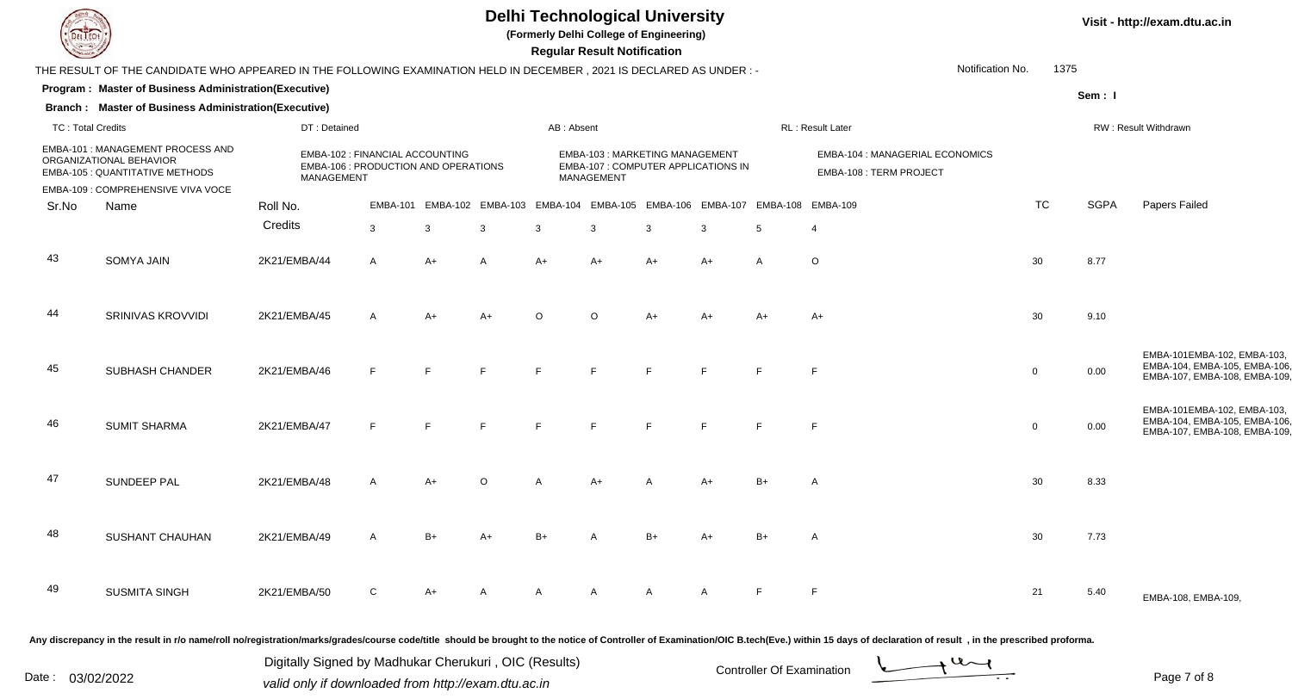

**(Formerly Delhi College of Engineering)**

 **Regular Result Notification**

| $\sim$                   |                                                                                                                      |              |                                                                         |                |                         | Regular Result Notification |                                                                                     |      |              |                                                                                  |                                                            |                  |             |                                                                                             |  |
|--------------------------|----------------------------------------------------------------------------------------------------------------------|--------------|-------------------------------------------------------------------------|----------------|-------------------------|-----------------------------|-------------------------------------------------------------------------------------|------|--------------|----------------------------------------------------------------------------------|------------------------------------------------------------|------------------|-------------|---------------------------------------------------------------------------------------------|--|
|                          | THE RESULT OF THE CANDIDATE WHO APPEARED IN THE FOLLOWING EXAMINATION HELD IN DECEMBER, 2021 IS DECLARED AS UNDER :- |              |                                                                         |                |                         |                             |                                                                                     |      |              |                                                                                  |                                                            | Notification No. | 1375        |                                                                                             |  |
|                          | Program: Master of Business Administration(Executive)                                                                |              |                                                                         |                |                         |                             |                                                                                     |      |              |                                                                                  |                                                            |                  | Sem: I      |                                                                                             |  |
|                          | <b>Branch: Master of Business Administration(Executive)</b>                                                          |              |                                                                         |                |                         |                             |                                                                                     |      |              |                                                                                  |                                                            |                  |             |                                                                                             |  |
| <b>TC: Total Credits</b> |                                                                                                                      | DT: Detained |                                                                         |                |                         | AB: Absent                  |                                                                                     |      |              |                                                                                  | <b>RL: Result Later</b>                                    |                  |             | RW: Result Withdrawn                                                                        |  |
|                          | <b>EMBA-101: MANAGEMENT PROCESS AND</b><br>ORGANIZATIONAL BEHAVIOR<br>EMBA-105 : QUANTITATIVE METHODS                | MANAGEMENT   | EMBA-102 : FINANCIAL ACCOUNTING<br>EMBA-106 : PRODUCTION AND OPERATIONS |                |                         |                             | EMBA-103: MARKETING MANAGEMENT<br>EMBA-107 : COMPUTER APPLICATIONS IN<br>MANAGEMENT |      |              |                                                                                  | EMBA-104 : MANAGERIAL ECONOMICS<br>EMBA-108 : TERM PROJECT |                  |             |                                                                                             |  |
|                          | EMBA-109 : COMPREHENSIVE VIVA VOCE                                                                                   |              |                                                                         |                |                         |                             |                                                                                     |      |              |                                                                                  |                                                            |                  |             |                                                                                             |  |
| Sr.No                    | Name                                                                                                                 | Roll No.     |                                                                         |                |                         |                             |                                                                                     |      |              | EMBA-101 EMBA-102 EMBA-103 EMBA-104 EMBA-105 EMBA-106 EMBA-107 EMBA-108 EMBA-109 |                                                            | <b>TC</b>        | <b>SGPA</b> | Papers Failed                                                                               |  |
|                          |                                                                                                                      | Credits      | 3                                                                       | $\mathbf{3}$   | $\mathbf{3}$            | 3                           | 3                                                                                   | 3    | 3            | 5                                                                                | $\overline{4}$                                             |                  |             |                                                                                             |  |
| 43                       | <b>SOMYA JAIN</b>                                                                                                    | 2K21/EMBA/44 | $\mathsf{A}$                                                            | $A+$           | $\overline{\mathsf{A}}$ | $A+$                        | $A+$                                                                                | $A+$ | $A+$         | $\mathsf{A}$                                                                     | $\circ$                                                    | 30               | 8.77        |                                                                                             |  |
| 44                       | SRINIVAS KROVVIDI                                                                                                    | 2K21/EMBA/45 | $\mathsf{A}$                                                            | $A+$           | $A+$                    | $\Omega$                    | $\Omega$                                                                            | $A+$ | $A+$         | A+                                                                               | $A+$                                                       | 30               | 9.10        |                                                                                             |  |
| 45                       | SUBHASH CHANDER                                                                                                      | 2K21/EMBA/46 |                                                                         |                | F                       |                             |                                                                                     |      |              |                                                                                  | F                                                          | $\mathbf 0$      | 0.00        | EMBA-101EMBA-102, EMBA-103,<br>EMBA-104, EMBA-105, EMBA-106<br>EMBA-107, EMBA-108, EMBA-109 |  |
| 46                       | <b>SUMIT SHARMA</b>                                                                                                  | 2K21/EMBA/47 | E                                                                       | $\blacksquare$ | F                       | Ε.                          | $\mathbf{F}$                                                                        | E    | E            | E                                                                                | F                                                          | $\mathbf 0$      | 0.00        | EMBA-101EMBA-102, EMBA-103,<br>EMBA-104, EMBA-105, EMBA-106<br>EMBA-107, EMBA-108, EMBA-109 |  |
| 47                       | SUNDEEP PAL                                                                                                          | 2K21/EMBA/48 | $\mathsf{A}$                                                            | $A+$           | $\cap$                  |                             | A+                                                                                  |      | $A+$         | $B+$                                                                             | A                                                          | 30               | 8.33        |                                                                                             |  |
| 48                       | SUSHANT CHAUHAN                                                                                                      | 2K21/EMBA/49 | $\mathsf{A}$                                                            | $B+$           | $A+$                    | $B+$                        |                                                                                     | $B+$ | $A+$         | $B+$                                                                             |                                                            | 30               | 7.73        |                                                                                             |  |
| 49                       | <b>SUSMITA SINGH</b>                                                                                                 | 2K21/EMBA/50 | C                                                                       | $A+$           |                         |                             | A                                                                                   | A    | $\mathsf{A}$ | E                                                                                | F                                                          | 21               | 5.40        | EMBA-108, EMBA-109,                                                                         |  |
|                          |                                                                                                                      |              |                                                                         |                |                         |                             |                                                                                     |      |              |                                                                                  |                                                            |                  |             |                                                                                             |  |

Any discrepancy in the result in r/o name/roll no/registration/marks/grades/course code/title should be brought to the notice of Controller of Examination/OIC B.tech(Eve.) within 15 days of declaration of result, in the pr

Date : 03/02/2022<br>
valid only if downloaded from http://exam.dtu.ac.in<br>
Page 7 of

Digitally Signed by Madhukar Cherukuri , OIC (Results)



Page 7 of 8